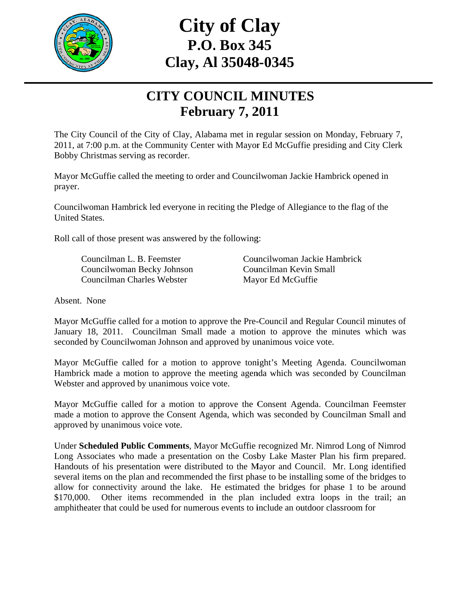

# **C Clay, Al l 35048 8-0345 City of Clay P.O. . Box 34 45**

### **CITY COUNCIL MINUTES Febru uary 7, 2 2011**

The City Council of the City of Clay, Alabama met in regular session on Monday, February 7, 2011, at 7:00 p.m. at the Community Center with Mayor Ed McGuffie presiding and City Clerk Bobby Christmas serving as recorder.

Mayor McGuffie called the meeting to order and Councilwoman Jackie Hambrick opened in prayer.

Councilwoman Hambrick led everyone in reciting the Pledge of Allegiance to the flag of the United S tates.

Roll call of those present was answered by the following:

Councilman L. B. Feemster Councilwoman Becky Johnson Councilman Charles Webster

Councilwoman Jackie Hambrick Councilman Kevin Small Mayor Ed McGuffie

Absent. None

Mayor McGuffie called for a motion to approve the Pre-Council and Regular Council minut January 18, 2011. Councilman Small made a motion to approve the minutes which was seconded by Councilwoman Johnson and approved by unanimous voice vote. n<br>e<br>utes of

Mayor McGuffie called for a motion to approve tonight's Meeting Agenda. Councilwoman Hambrick made a motion to approve the meeting agenda which was seconded by Councilman Webster and approved by unanimous voice vote.

Mayor McGuffie called for a motion to approve the Consent Agenda. Councilman Feemster made a motion to approve the Consent Agenda, which was seconded by Councilman Small and approved by unanimous voice vote.

Under Scheduled Public Comments, Mayor McGuffie recognized Mr. Nimrod Long of Nimrod Long Associates who made a presentation on the Cosby Lake Master Plan his firm prepared. Handouts of his presentation were distributed to the Mayor and Council. Mr. Long identified several items on the plan and recommended the first phase to be installing some of the bridges to allow for connectivity around the lake. He estimated the bridges for phase 1 to be around \$170,000 amphitheater that could be used for numerous events to include an outdoor classroom for 0. Other items recommended in the plan included extra loops in the trail; an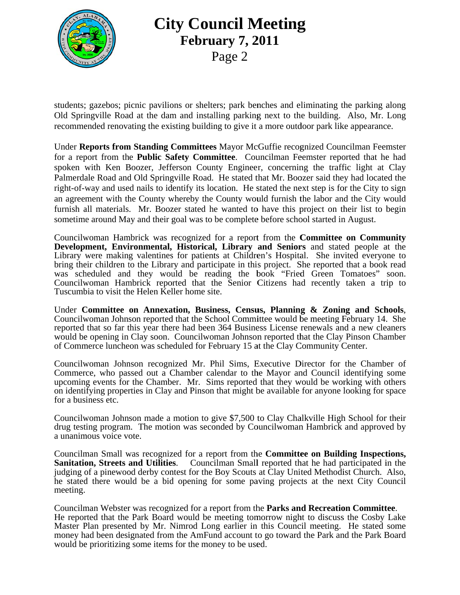

### **City Council Meeting Febru uary 7, 2 2011**  P Page 2

students; gazebos; picnic pavilions or shelters; park benches and eliminating the parking along Old Springville Road at the dam and installing parking next to the building. Also, Mr. Long recommended renovating the existing building to give it a more outdoor park like appearance.

Under Reports from Standing Committees Mayor McGuffie recognized Councilman Feemster for a report from the **Public Safety Committee**. Councilman Feemster reported that he had spoken with Ken Boozer, Jefferson County Engineer, concerning the traffic light at Clay Palmerdale Road and Old Springville Road. He stated that Mr. Boozer said they had located the right-of-way and used nails to identify its location. He stated the next step is for the City to sign an agreement with the County whereby the County would furnish the labor and the City would furnish all materials. Mr. Boozer stated he wanted to have this project on their list to begin sometime around May and their goal was to be complete before school started in August.

Councilwoman Hambrick was recognized for a report from the **Committee on Community Development, Environmental, Historical, Library and Seniors and stated people at the** Library were making valentines for patients at Children's Hospital. She invited everyone to bring their children to the Library and participate in this project. She reported that a book read was scheduled and they would be reading the book "Fried Green Tomatoes" soon. Councilwoman Hambrick reported that the Senior Citizens had recently taken a trip to Tuscumbia to visit the Helen Keller home site.

Under Committee on Annexation, Business, Census, Planning & Zoning and Schools, Councilwoman Johnson reported that the School Committee would be meeting February 14. She reported that so far this year there had been 364 Business License renewals and a new cleaners would be opening in Clay soon. Councilwoman Johnson reported that the Clay Pinson Chamber of Commerce luncheon was scheduled for February 15 at the Clay Community Center.

Councilwoman Johnson recognized Mr. Phil Sims, Executive Director for the Chamber of Commerce, who passed out a Chamber calendar to the Mayor and Council identifying some upcoming events for the Chamber. Mr. Sims reported that they would be working with others on identifying properties in Clay and Pinson that might be available for anyone looking for space for a bus iness etc.

Councilwoman Johnson made a motion to give \$7,500 to Clay Chalkville High School for their drug testing program. The motion was seconded by Councilwoman Hambrick and approved by a unanimous voice vote.

Councilman Small was recognized for a report from the **Committee on Building Inspections, Sanitatio on, Streets and Utilitie** judging of a pinewood derby contest for the Boy Scouts at Clay United Methodist Church. Also, he stated there would be a bid opening for some paving projects at the next City Council meeting. es. Councilman Small reported that he had participated in the

Councilman Webster was recognized for a report from the Parks and Recreation Committee. He reported that the Park Board would be meeting tomorrow night to discuss the Cosby Lake Master Plan presented by Mr. Nimrod Long earlier in this Council meeting. He stated some money had been designated from the AmFund account to go toward the Park and the Park Board would be prioritizing some items for the money to be used.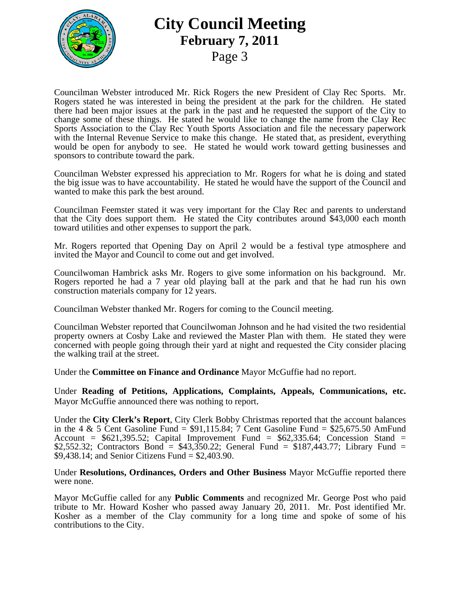

### **City Council Meeting Febru uary 7, 2 2011**  P Page 3

Councilman Webster introduced Mr. Rick Rogers the new President of Clay Rec Sports. Mr. Rogers stated he was interested in being the president at the park for the children. He stated there had been major issues at the park in the past and he requested the support of the City to change some of these things. He stated he would like to change the name from the Clay Rec Sports Association to the Clay Rec Youth Sports Association and file the necessary paperwork with the Internal Revenue Service to make this change. He stated that, as president, everything would be open for anybody to see. He stated he would work toward getting businesses and sponsors to contribute toward the park.

Councilman Webster expressed his appreciation to Mr. Rogers for what he is doing and stated the big issue was to have accountability. He stated he would have the support of the Council and wanted to make this park the best around.

Councilman Feemster stated it was very important for the Clay Rec and parents to understand that the City does support them. He stated the City contributes around \$43,000 each month toward utilities and other expenses to support the park.

Mr. Rogers reported that Opening Day on April 2 would be a festival type atmosphere and invited the Mayor and Council to come out and get involved.

Councilwoman Hambrick asks Mr. Rogers to give some information on his background. Mr. Rogers reported he had a 7 year old playing ball at the park and that he had run his own construction materials company for 12 years.

Councilman Webster thanked Mr. Rogers for coming to the Council meeting.

Councilman Webster reported that Councilwoman Johnson and he had visited the two residential property owners at Cosby Lake and reviewed the Master Plan with them. He stated they were concerned with people going through their yard at night and requested the City consider placing the walki ing trail at th he street.

Under the **Committee on Finance and Ordinance** Mayor McGuffie had no report.

Under Reading of Petitions, Applications, Complaints, Appeals, Communications, etc. Mayor McGuffie announced there was nothing to report.

Mayor McGuffie announced there was nothing to report.<br>Under the City Clerk's Report, City Clerk Bobby Christmas reported that the account balances in the 4 & 5 Cent Gasoline Fund =  $$91,115.84$ ; 7 Cent Gasoline Fund =  $$25,675.50$  AmFund Account =  $$621,395.52$ ; Capital Improvement Fund =  $$62,335.64$ ; Concession Stand =  $$2,552.32$ ; Contractors Bond =  $$43,350.22$ ; General Fund =  $$187,443.77$ ; Library Fund =  $$2,552.32$ ; Contractors Bond =  $$43,350.22$ ; Ge  $$9,438.14$ ; and Senior Citizens Fund =  $$2,403.90$ .

Under Resolutions, Ordinances, Orders and Other Business Mayor McGuffie reported there were none.

Mayor McGuffie called for any **Public Comments** and recognized Mr. George Post who paid tribute to Mr. Howard Kosher who passed away January 20, 2011. Mr. Post identified Mr. Kosher as a member of the Clay community for a long time and spoke of some of his contributions to the City.